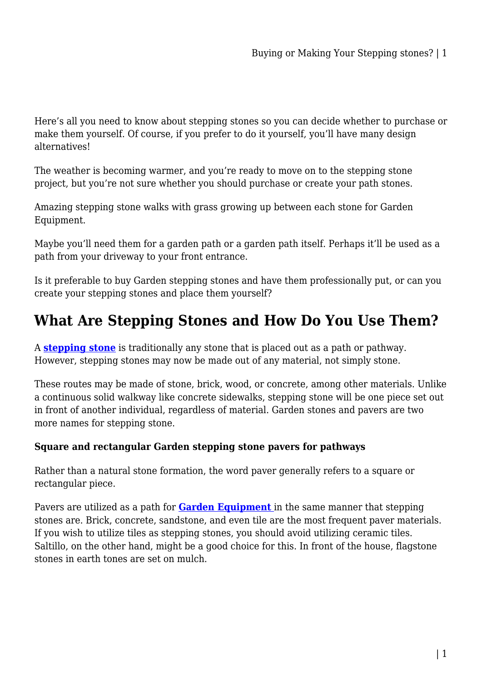Here's all you need to know about stepping stones so you can decide whether to purchase or make them yourself. Of course, if you prefer to do it yourself, you'll have many design alternatives!

The weather is becoming warmer, and you're ready to move on to the stepping stone project, but you're not sure whether you should purchase or create your path stones.

Amazing stepping stone walks with grass growing up between each stone for Garden Equipment.

Maybe you'll need them for a garden path or a garden path itself. Perhaps it'll be used as a path from your driveway to your front entrance.

Is it preferable to buy Garden stepping stones and have them professionally put, or can you create your stepping stones and place them yourself?

# **What Are Stepping Stones and How Do You Use Them?**

A **[stepping stone](https://gardeningtoolsonline.com.au/home-garden/garden-stepping-stones/)** is traditionally any stone that is placed out as a path or pathway. However, stepping stones may now be made out of any material, not simply stone.

These routes may be made of stone, brick, wood, or concrete, among other materials. Unlike a continuous solid walkway like concrete sidewalks, stepping stone will be one piece set out in front of another individual, regardless of material. Garden stones and pavers are two more names for stepping stone.

## **Square and rectangular Garden stepping stone pavers for pathways**

Rather than a natural stone formation, the word paver generally refers to a square or rectangular piece.

Pavers are utilized as a path for **[Garden Equipment](https://gardeningtoolsonline.com.au/gardening/)** in the same manner that stepping stones are. Brick, concrete, sandstone, and even tile are the most frequent paver materials. If you wish to utilize tiles as stepping stones, you should avoid utilizing ceramic tiles. Saltillo, on the other hand, might be a good choice for this. In front of the house, flagstone stones in earth tones are set on mulch.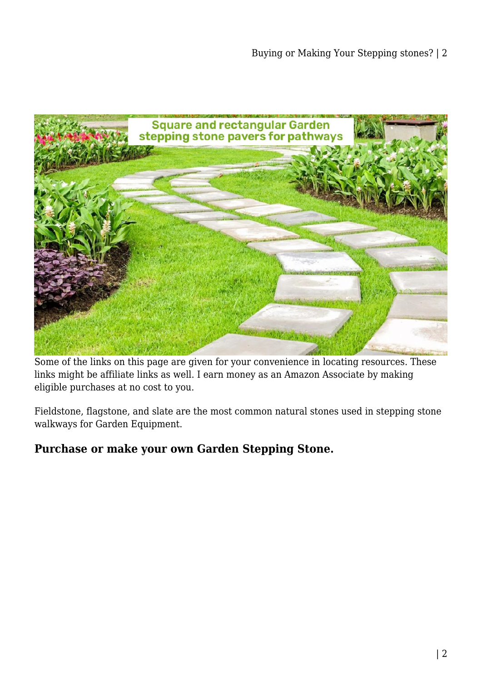

Some of the links on this page are given for your convenience in locating resources. These links might be affiliate links as well. I earn money as an Amazon Associate by making eligible purchases at no cost to you.

Fieldstone, flagstone, and slate are the most common natural stones used in stepping stone walkways for Garden Equipment.

# **Purchase or make your own Garden Stepping Stone.**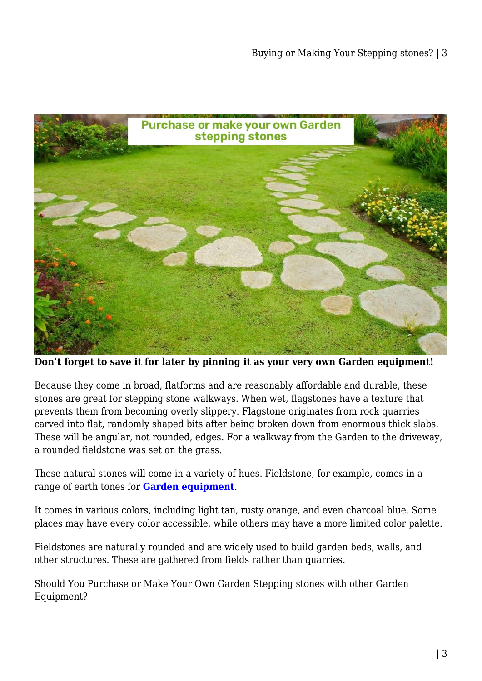

**Don't forget to save it for later by pinning it as your very own Garden equipment!**

Because they come in broad, flatforms and are reasonably affordable and durable, these stones are great for stepping stone walkways. When wet, flagstones have a texture that prevents them from becoming overly slippery. Flagstone originates from rock quarries carved into flat, randomly shaped bits after being broken down from enormous thick slabs. These will be angular, not rounded, edges. For a walkway from the Garden to the driveway, a rounded fieldstone was set on the grass.

These natural stones will come in a variety of hues. Fieldstone, for example, comes in a range of earth tones for **[Garden equipment](https://gardeningtoolsonline.com.au/gardening/)**.

It comes in various colors, including light tan, rusty orange, and even charcoal blue. Some places may have every color accessible, while others may have a more limited color palette.

Fieldstones are naturally rounded and are widely used to build garden beds, walls, and other structures. These are gathered from fields rather than quarries.

Should You Purchase or Make Your Own Garden Stepping stones with other Garden Equipment?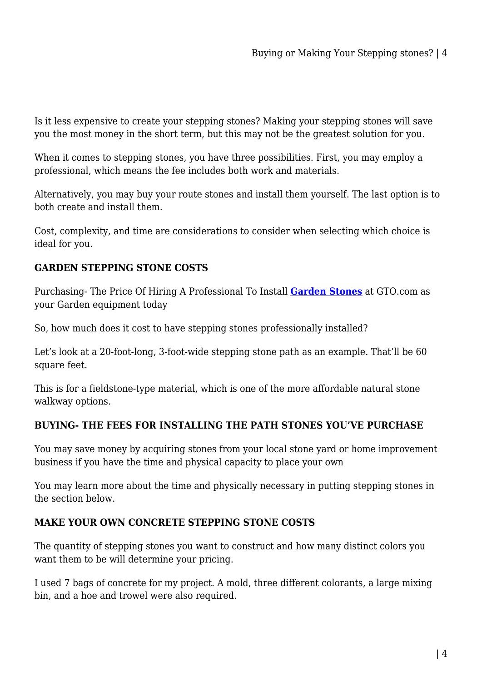Is it less expensive to create your stepping stones? Making your stepping stones will save you the most money in the short term, but this may not be the greatest solution for you.

When it comes to stepping stones, you have three possibilities. First, you may employ a professional, which means the fee includes both work and materials.

Alternatively, you may buy your route stones and install them yourself. The last option is to both create and install them.

Cost, complexity, and time are considerations to consider when selecting which choice is ideal for you.

# **GARDEN STEPPING STONE COSTS**

Purchasing- The Price Of Hiring A Professional To Install **[Garden Stones](https://gardeningtoolsonline.com.au/home-garden/)** at GTO.com as your Garden equipment today

So, how much does it cost to have stepping stones professionally installed?

Let's look at a 20-foot-long, 3-foot-wide stepping stone path as an example. That'll be 60 square feet.

This is for a fieldstone-type material, which is one of the more affordable natural stone walkway options.

## **BUYING- THE FEES FOR INSTALLING THE PATH STONES YOU'VE PURCHASE**

You may save money by acquiring stones from your local stone yard or home improvement business if you have the time and physical capacity to place your own

You may learn more about the time and physically necessary in putting stepping stones in the section below.

## **MAKE YOUR OWN CONCRETE STEPPING STONE COSTS**

The quantity of stepping stones you want to construct and how many distinct colors you want them to be will determine your pricing.

I used 7 bags of concrete for my project. A mold, three different colorants, a large mixing bin, and a hoe and trowel were also required.